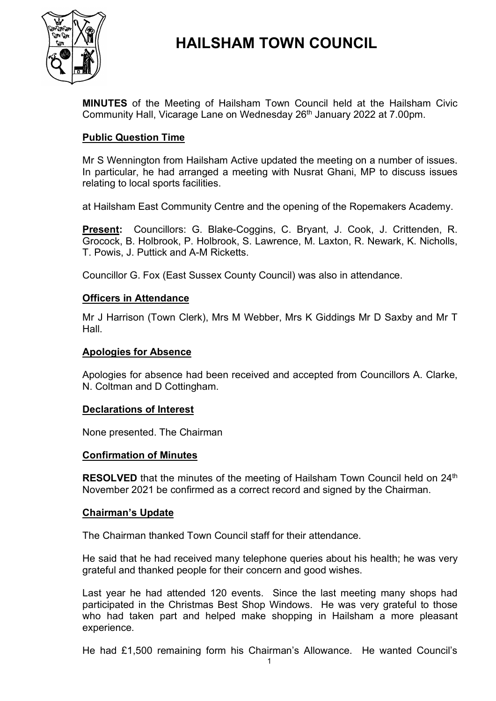

# **HAILSHAM TOWN COUNCIL**

**MINUTES** of the Meeting of Hailsham Town Council held at the Hailsham Civic Community Hall, Vicarage Lane on Wednesday 26<sup>th</sup> January 2022 at 7.00pm.

## **Public Question Time**

Mr S Wennington from Hailsham Active updated the meeting on a number of issues. In particular, he had arranged a meeting with Nusrat Ghani, MP to discuss issues relating to local sports facilities.

at Hailsham East Community Centre and the opening of the Ropemakers Academy.

**Present:** Councillors: G. Blake-Coggins, C. Bryant, J. Cook, J. Crittenden, R. Grocock, B. Holbrook, P. Holbrook, S. Lawrence, M. Laxton, R. Newark, K. Nicholls, T. Powis, J. Puttick and A-M Ricketts.

Councillor G. Fox (East Sussex County Council) was also in attendance.

#### **Officers in Attendance**

Mr J Harrison (Town Clerk), Mrs M Webber, Mrs K Giddings Mr D Saxby and Mr T Hall.

#### **Apologies for Absence**

Apologies for absence had been received and accepted from Councillors A. Clarke, N. Coltman and D Cottingham.

#### **Declarations of Interest**

None presented. The Chairman

#### **Confirmation of Minutes**

RESOLVED that the minutes of the meeting of Hailsham Town Council held on 24<sup>th</sup> November 2021 be confirmed as a correct record and signed by the Chairman.

#### **Chairman's Update**

The Chairman thanked Town Council staff for their attendance.

He said that he had received many telephone queries about his health; he was very grateful and thanked people for their concern and good wishes.

Last year he had attended 120 events. Since the last meeting many shops had participated in the Christmas Best Shop Windows. He was very grateful to those who had taken part and helped make shopping in Hailsham a more pleasant experience.

He had £1,500 remaining form his Chairman's Allowance. He wanted Council's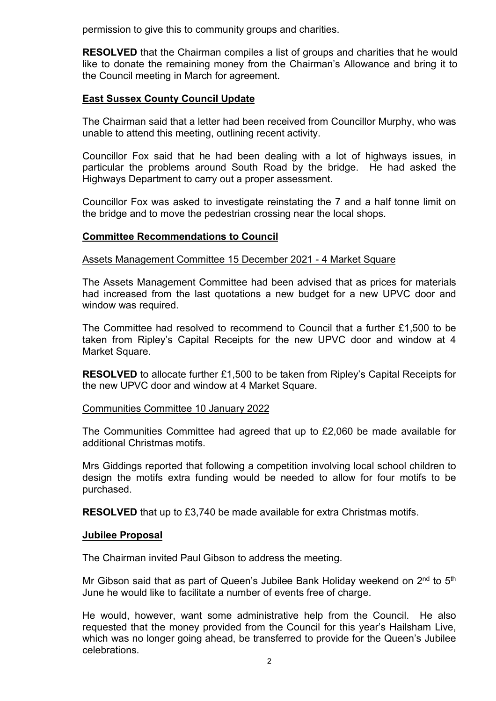permission to give this to community groups and charities.

**RESOLVED** that the Chairman compiles a list of groups and charities that he would like to donate the remaining money from the Chairman's Allowance and bring it to the Council meeting in March for agreement.

# **East Sussex County Council Update**

The Chairman said that a letter had been received from Councillor Murphy, who was unable to attend this meeting, outlining recent activity.

Councillor Fox said that he had been dealing with a lot of highways issues, in particular the problems around South Road by the bridge. He had asked the Highways Department to carry out a proper assessment.

Councillor Fox was asked to investigate reinstating the 7 and a half tonne limit on the bridge and to move the pedestrian crossing near the local shops.

# **Committee Recommendations to Council**

Assets Management Committee 15 December 2021 - 4 Market Square

The Assets Management Committee had been advised that as prices for materials had increased from the last quotations a new budget for a new UPVC door and window was required.

The Committee had resolved to recommend to Council that a further £1,500 to be taken from Ripley's Capital Receipts for the new UPVC door and window at 4 Market Square.

**RESOLVED** to allocate further £1,500 to be taken from Ripley's Capital Receipts for the new UPVC door and window at 4 Market Square.

#### Communities Committee 10 January 2022

The Communities Committee had agreed that up to £2,060 be made available for additional Christmas motifs.

Mrs Giddings reported that following a competition involving local school children to design the motifs extra funding would be needed to allow for four motifs to be purchased.

**RESOLVED** that up to £3,740 be made available for extra Christmas motifs.

#### **Jubilee Proposal**

The Chairman invited Paul Gibson to address the meeting.

Mr Gibson said that as part of Queen's Jubilee Bank Holiday weekend on 2<sup>nd</sup> to 5<sup>th</sup> June he would like to facilitate a number of events free of charge.

He would, however, want some administrative help from the Council. He also requested that the money provided from the Council for this year's Hailsham Live, which was no longer going ahead, be transferred to provide for the Queen's Jubilee celebrations.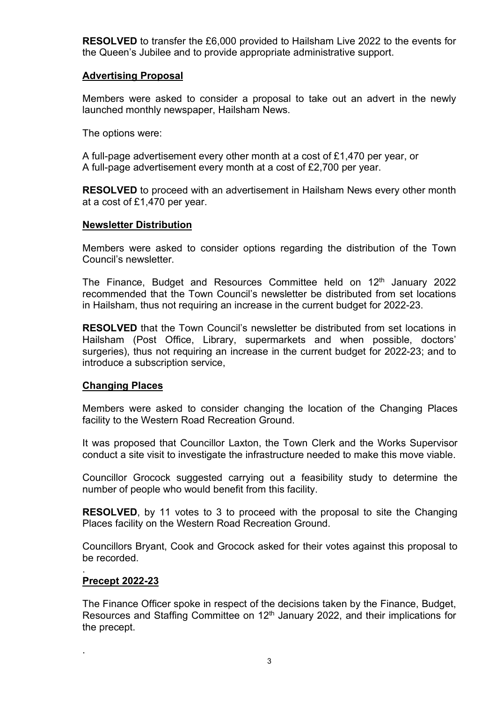**RESOLVED** to transfer the £6,000 provided to Hailsham Live 2022 to the events for the Queen's Jubilee and to provide appropriate administrative support.

### **Advertising Proposal**

Members were asked to consider a proposal to take out an advert in the newly launched monthly newspaper, Hailsham News.

The options were:

A full-page advertisement every other month at a cost of £1,470 per year, or A full-page advertisement every month at a cost of £2,700 per year.

**RESOLVED** to proceed with an advertisement in Hailsham News every other month at a cost of £1,470 per year.

#### **Newsletter Distribution**

Members were asked to consider options regarding the distribution of the Town Council's newsletter.

The Finance, Budget and Resources Committee held on 12<sup>th</sup> January 2022 recommended that the Town Council's newsletter be distributed from set locations in Hailsham, thus not requiring an increase in the current budget for 2022-23.

**RESOLVED** that the Town Council's newsletter be distributed from set locations in Hailsham (Post Office, Library, supermarkets and when possible, doctors' surgeries), thus not requiring an increase in the current budget for 2022-23; and to introduce a subscription service,

#### **Changing Places**

Members were asked to consider changing the location of the Changing Places facility to the Western Road Recreation Ground.

It was proposed that Councillor Laxton, the Town Clerk and the Works Supervisor conduct a site visit to investigate the infrastructure needed to make this move viable.

Councillor Grocock suggested carrying out a feasibility study to determine the number of people who would benefit from this facility.

**RESOLVED**, by 11 votes to 3 to proceed with the proposal to site the Changing Places facility on the Western Road Recreation Ground.

Councillors Bryant, Cook and Grocock asked for their votes against this proposal to be recorded.

#### . **Precept 2022-23**

.

The Finance Officer spoke in respect of the decisions taken by the Finance, Budget, Resources and Staffing Committee on 12<sup>th</sup> January 2022, and their implications for the precept.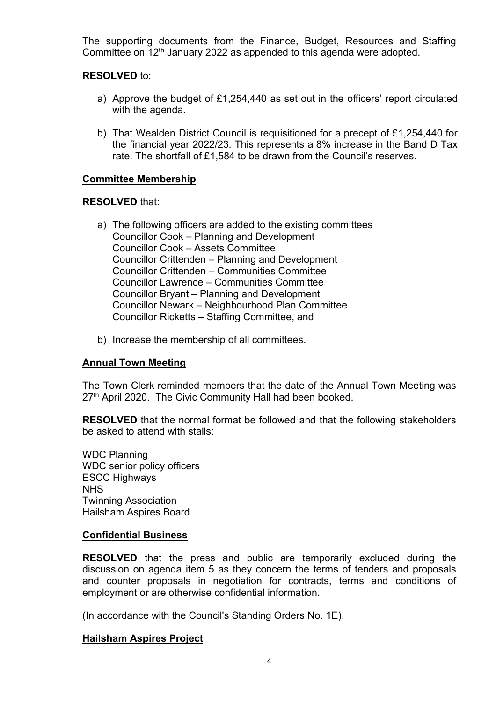The supporting documents from the Finance, Budget, Resources and Staffing Committee on 12<sup>th</sup> January 2022 as appended to this agenda were adopted.

### **RESOLVED** to:

- a) Approve the budget of £1,254,440 as set out in the officers' report circulated with the agenda.
- b) That Wealden District Council is requisitioned for a precept of £1,254,440 for the financial year 2022/23. This represents a 8% increase in the Band D Tax rate. The shortfall of £1,584 to be drawn from the Council's reserves.

#### **Committee Membership**

#### **RESOLVED** that:

- a) The following officers are added to the existing committees Councillor Cook – Planning and Development Councillor Cook – Assets Committee Councillor Crittenden – Planning and Development Councillor Crittenden – Communities Committee Councillor Lawrence – Communities Committee Councillor Bryant – Planning and Development Councillor Newark – Neighbourhood Plan Committee Councillor Ricketts – Staffing Committee, and
- b) Increase the membership of all committees.

#### **Annual Town Meeting**

The Town Clerk reminded members that the date of the Annual Town Meeting was 27<sup>th</sup> April 2020. The Civic Community Hall had been booked.

**RESOLVED** that the normal format be followed and that the following stakeholders be asked to attend with stalls:

WDC Planning WDC senior policy officers ESCC Highways NHS Twinning Association Hailsham Aspires Board

#### **Confidential Business**

**RESOLVED** that the press and public are temporarily excluded during the discussion on agenda item 5 as they concern the terms of tenders and proposals and counter proposals in negotiation for contracts, terms and conditions of employment or are otherwise confidential information.

(In accordance with the Council's Standing Orders No. 1E).

#### **Hailsham Aspires Project**